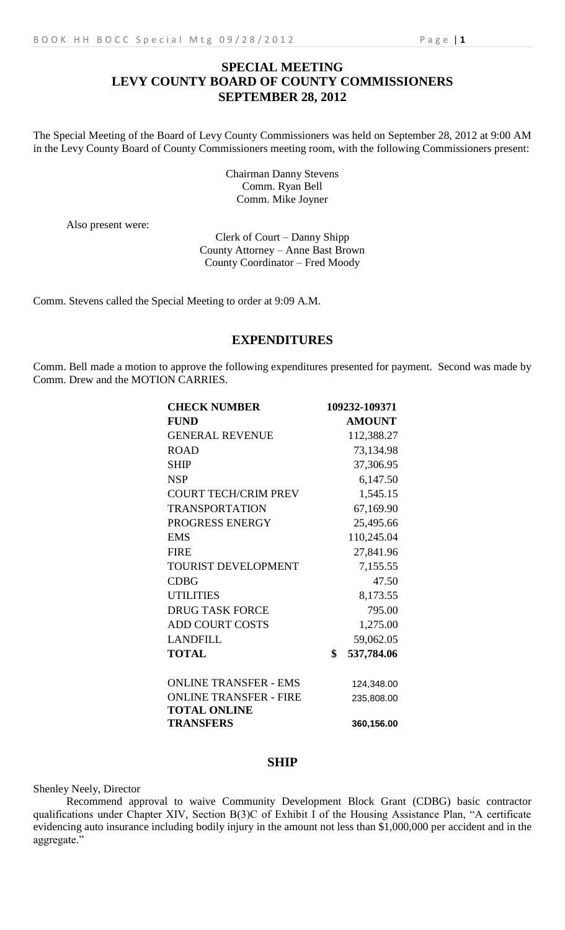## **SPECIAL MEETING LEVY COUNTY BOARD OF COUNTY COMMISSIONERS SEPTEMBER 28, 2012**

The Special Meeting of the Board of Levy County Commissioners was held on September 28, 2012 at 9:00 AM in the Levy County Board of County Commissioners meeting room, with the following Commissioners present:

> Chairman Danny Stevens Comm. Ryan Bell Comm. Mike Joyner

Also present were:

Clerk of Court – Danny Shipp County Attorney – Anne Bast Brown County Coordinator – Fred Moody

Comm. Stevens called the Special Meeting to order at 9:09 A.M.

## **EXPENDITURES**

Comm. Bell made a motion to approve the following expenditures presented for payment. Second was made by Comm. Drew and the MOTION CARRIES.

| <b>CHECK NUMBER</b>           | 109232-109371    |
|-------------------------------|------------------|
| <b>FUND</b>                   | <b>AMOUNT</b>    |
| <b>GENERAL REVENUE</b>        | 112,388.27       |
| <b>ROAD</b>                   | 73,134.98        |
| <b>SHIP</b>                   | 37,306.95        |
| <b>NSP</b>                    | 6,147.50         |
| <b>COURT TECH/CRIM PREV</b>   | 1,545.15         |
| <b>TRANSPORTATION</b>         | 67,169.90        |
| PROGRESS ENERGY               | 25,495.66        |
| <b>EMS</b>                    | 110,245.04       |
| <b>FIRE</b>                   | 27,841.96        |
| <b>TOURIST DEVELOPMENT</b>    | 7,155.55         |
| <b>CDBG</b>                   | 47.50            |
| <b>UTILITIES</b>              | 8,173.55         |
| <b>DRUG TASK FORCE</b>        | 795.00           |
| <b>ADD COURT COSTS</b>        | 1,275.00         |
| <b>LANDFILL</b>               | 59,062.05        |
| <b>TOTAL</b>                  | \$<br>537,784.06 |
| <b>ONLINE TRANSFER - EMS</b>  | 124,348.00       |
| <b>ONLINE TRANSFER - FIRE</b> | 235,808.00       |
| <b>TOTAL ONLINE</b>           |                  |
| <b>TRANSFERS</b>              | 360,156.00       |

## **SHIP**

Shenley Neely, Director

Recommend approval to waive Community Development Block Grant (CDBG) basic contractor qualifications under Chapter XIV, Section B(3)C of Exhibit I of the Housing Assistance Plan, "A certificate evidencing auto insurance including bodily injury in the amount not less than \$1,000,000 per accident and in the aggregate."